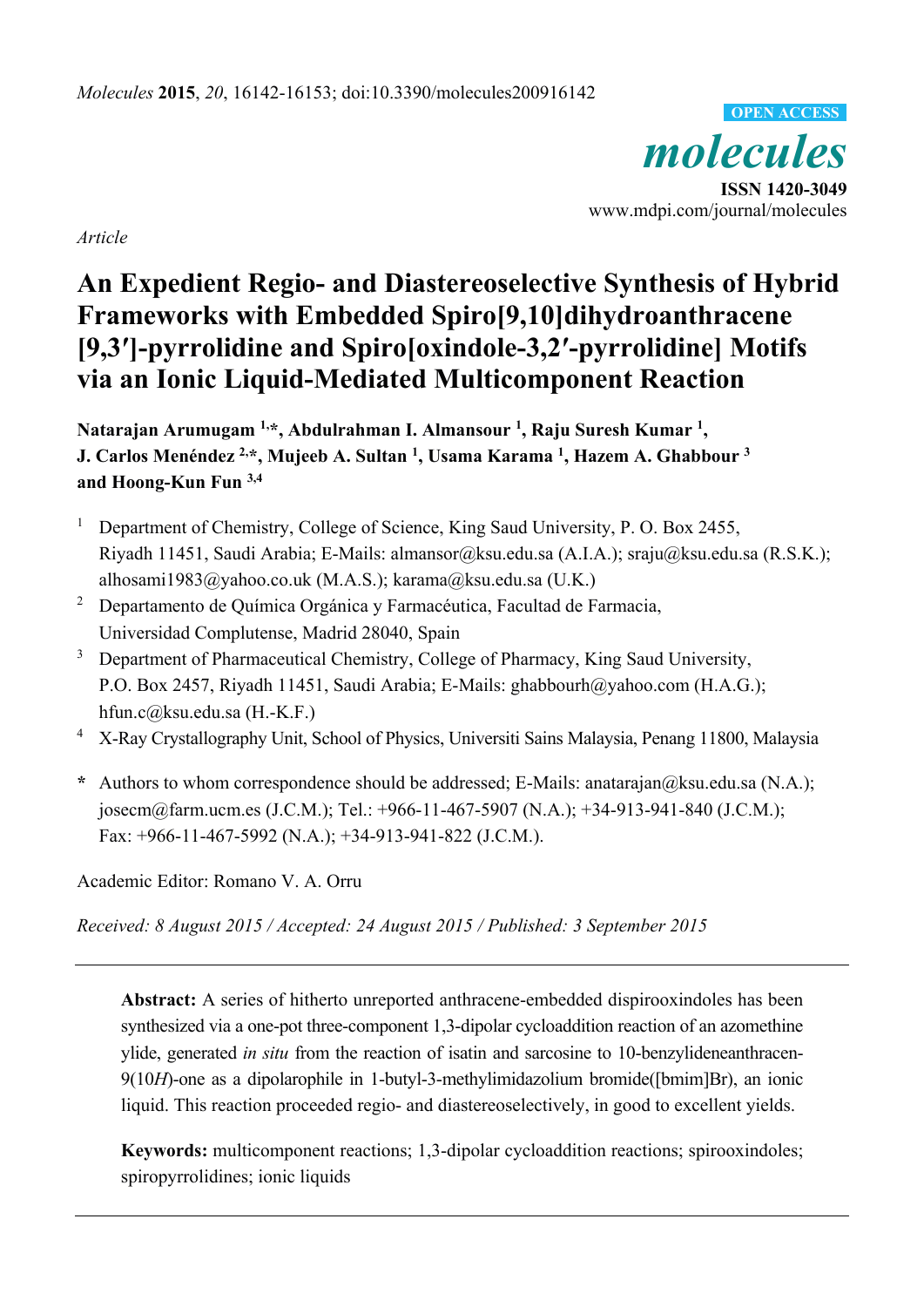*molecules*  **ISSN 1420-3049**  www.mdpi.com/journal/molecules **OPEN ACCESS**

*Article* 

# **An Expedient Regio- and Diastereoselective Synthesis of Hybrid Frameworks with Embedded Spiro[9,10]dihydroanthracene [9,3′]-pyrrolidine and Spiro[oxindole-3,2′-pyrrolidine] Motifs via an Ionic Liquid-Mediated Multicomponent Reaction**

**Natarajan Arumugam 1,\*, Abdulrahman I. Almansour 1 , Raju Suresh Kumar 1 , J.** Carlos Menéndez <sup>2,</sup>\*, Mujeeb A. Sultan <sup>1</sup>, Usama Karama <sup>1</sup>, Hazem A. Ghabbour <sup>3</sup> **and Hoong-Kun Fun 3,4**

- 1 Department of Chemistry, College of Science, King Saud University, P. O. Box 2455, Riyadh 11451, Saudi Arabia; E-Mails: almansor@ksu.edu.sa (A.I.A.); sraju@ksu.edu.sa (R.S.K.); alhosami1983@yahoo.co.uk (M.A.S.); karama@ksu.edu.sa (U.K.)
- 2 Departamento de Química Orgánica y Farmacéutica, Facultad de Farmacia, Universidad Complutense, Madrid 28040, Spain
- 3 Department of Pharmaceutical Chemistry, College of Pharmacy, King Saud University, P.O. Box 2457, Riyadh 11451, Saudi Arabia; E-Mails: ghabbourh@yahoo.com (H.A.G.); hfun.c@ksu.edu.sa (H.-K.F.)
- 4 X-Ray Crystallography Unit, School of Physics, Universiti Sains Malaysia, Penang 11800, Malaysia
- **\*** Authors to whom correspondence should be addressed; E-Mails: anatarajan@ksu.edu.sa (N.A.); josecm@farm.ucm.es (J.C.M.); Tel.: +966-11-467-5907 (N.A.); +34-913-941-840 (J.C.M.); Fax: +966-11-467-5992 (N.A.); +34-913-941-822 (J.C.M.).

Academic Editor: Romano V. A. Orru

*Received: 8 August 2015 / Accepted: 24 August 2015 / Published: 3 September 2015* 

**Abstract:** A series of hitherto unreported anthracene-embedded dispirooxindoles has been synthesized via a one-pot three-component 1,3-dipolar cycloaddition reaction of an azomethine ylide, generated *in situ* from the reaction of isatin and sarcosine to 10-benzylideneanthracen-9(10*H*)-one as a dipolarophile in 1-butyl-3-methylimidazolium bromide([bmim]Br), an ionic liquid. This reaction proceeded regio- and diastereoselectively, in good to excellent yields.

**Keywords:** multicomponent reactions; 1,3-dipolar cycloaddition reactions; spirooxindoles; spiropyrrolidines; ionic liquids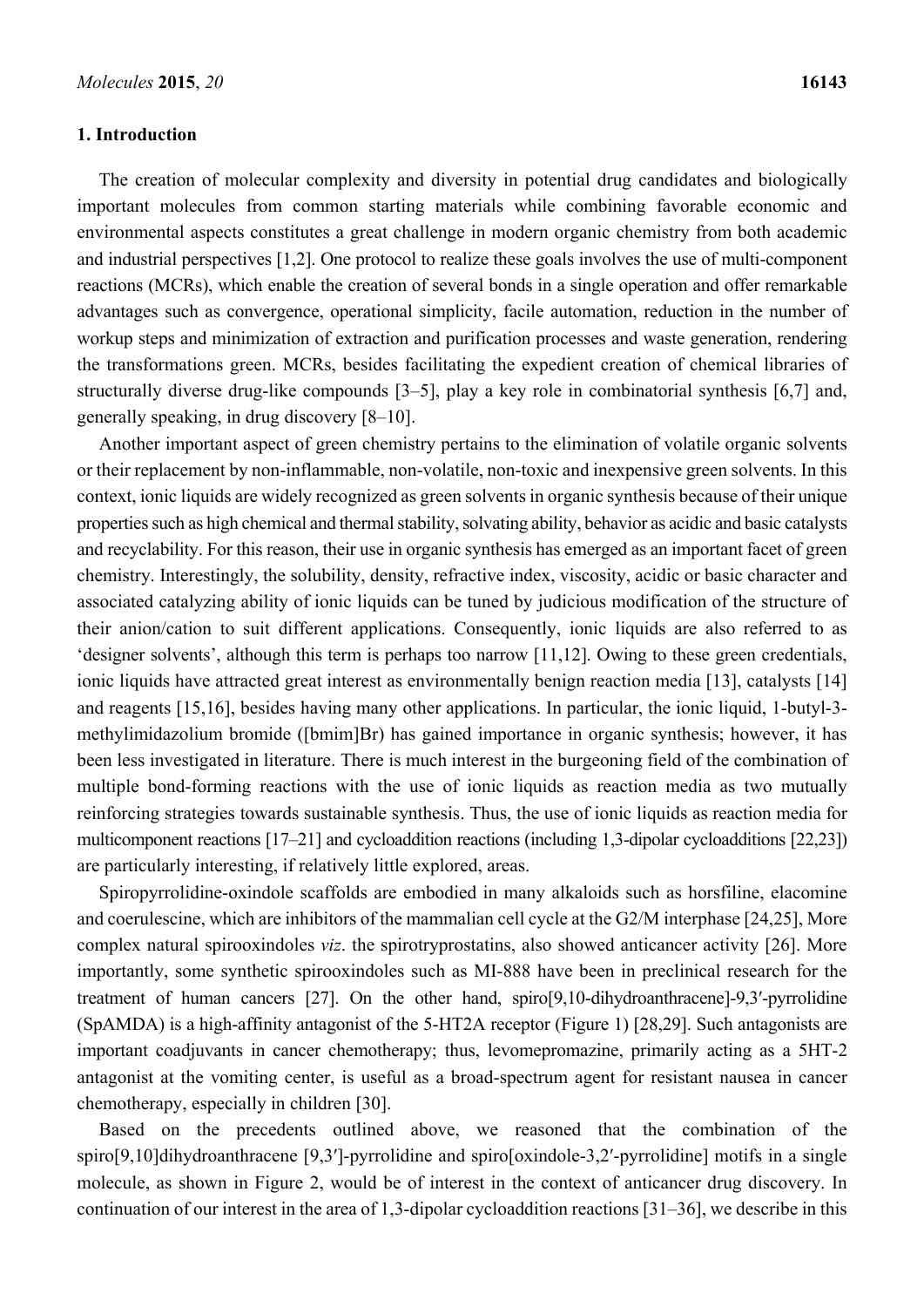#### **1. Introduction**

The creation of molecular complexity and diversity in potential drug candidates and biologically important molecules from common starting materials while combining favorable economic and environmental aspects constitutes a great challenge in modern organic chemistry from both academic and industrial perspectives [1,2]. One protocol to realize these goals involves the use of multi-component reactions (MCRs), which enable the creation of several bonds in a single operation and offer remarkable advantages such as convergence, operational simplicity, facile automation, reduction in the number of workup steps and minimization of extraction and purification processes and waste generation, rendering the transformations green. MCRs, besides facilitating the expedient creation of chemical libraries of structurally diverse drug-like compounds [3–5], play a key role in combinatorial synthesis [6,7] and, generally speaking, in drug discovery [8–10].

Another important aspect of green chemistry pertains to the elimination of volatile organic solvents or their replacement by non-inflammable, non-volatile, non-toxic and inexpensive green solvents. In this context, ionic liquids are widely recognized as green solvents in organic synthesis because of their unique properties such as high chemical and thermal stability, solvating ability, behavior as acidic and basic catalysts and recyclability. For this reason, their use in organic synthesis has emerged as an important facet of green chemistry. Interestingly, the solubility, density, refractive index, viscosity, acidic or basic character and associated catalyzing ability of ionic liquids can be tuned by judicious modification of the structure of their anion/cation to suit different applications. Consequently, ionic liquids are also referred to as 'designer solvents', although this term is perhaps too narrow [11,12]. Owing to these green credentials, ionic liquids have attracted great interest as environmentally benign reaction media [13], catalysts [14] and reagents [15,16], besides having many other applications. In particular, the ionic liquid, 1-butyl-3 methylimidazolium bromide ([bmim]Br) has gained importance in organic synthesis; however, it has been less investigated in literature. There is much interest in the burgeoning field of the combination of multiple bond-forming reactions with the use of ionic liquids as reaction media as two mutually reinforcing strategies towards sustainable synthesis. Thus, the use of ionic liquids as reaction media for multicomponent reactions [17–21] and cycloaddition reactions (including 1,3-dipolar cycloadditions [22,23]) are particularly interesting, if relatively little explored, areas.

Spiropyrrolidine-oxindole scaffolds are embodied in many alkaloids such as horsfiline, elacomine and coerulescine, which are inhibitors of the mammalian cell cycle at the G2/M interphase [24,25], More complex natural spirooxindoles *viz*. the spirotryprostatins, also showed anticancer activity [26]. More importantly, some synthetic spirooxindoles such as MI-888 have been in preclinical research for the treatment of human cancers [27]. On the other hand, spiro[9,10-dihydroanthracene]-9,3′-pyrrolidine (SpAMDA) is a high-affinity antagonist of the 5-HT2A receptor (Figure 1) [28,29]. Such antagonists are important coadjuvants in cancer chemotherapy; thus, levomepromazine, primarily acting as a 5HT-2 antagonist at the vomiting center, is useful as a broad-spectrum agent for resistant nausea in cancer chemotherapy, especially in children [30].

Based on the precedents outlined above, we reasoned that the combination of the spiro[9,10]dihydroanthracene [9,3']-pyrrolidine and spiro[oxindole-3,2'-pyrrolidine] motifs in a single molecule, as shown in Figure 2, would be of interest in the context of anticancer drug discovery. In continuation of our interest in the area of 1,3-dipolar cycloaddition reactions [31–36], we describe in this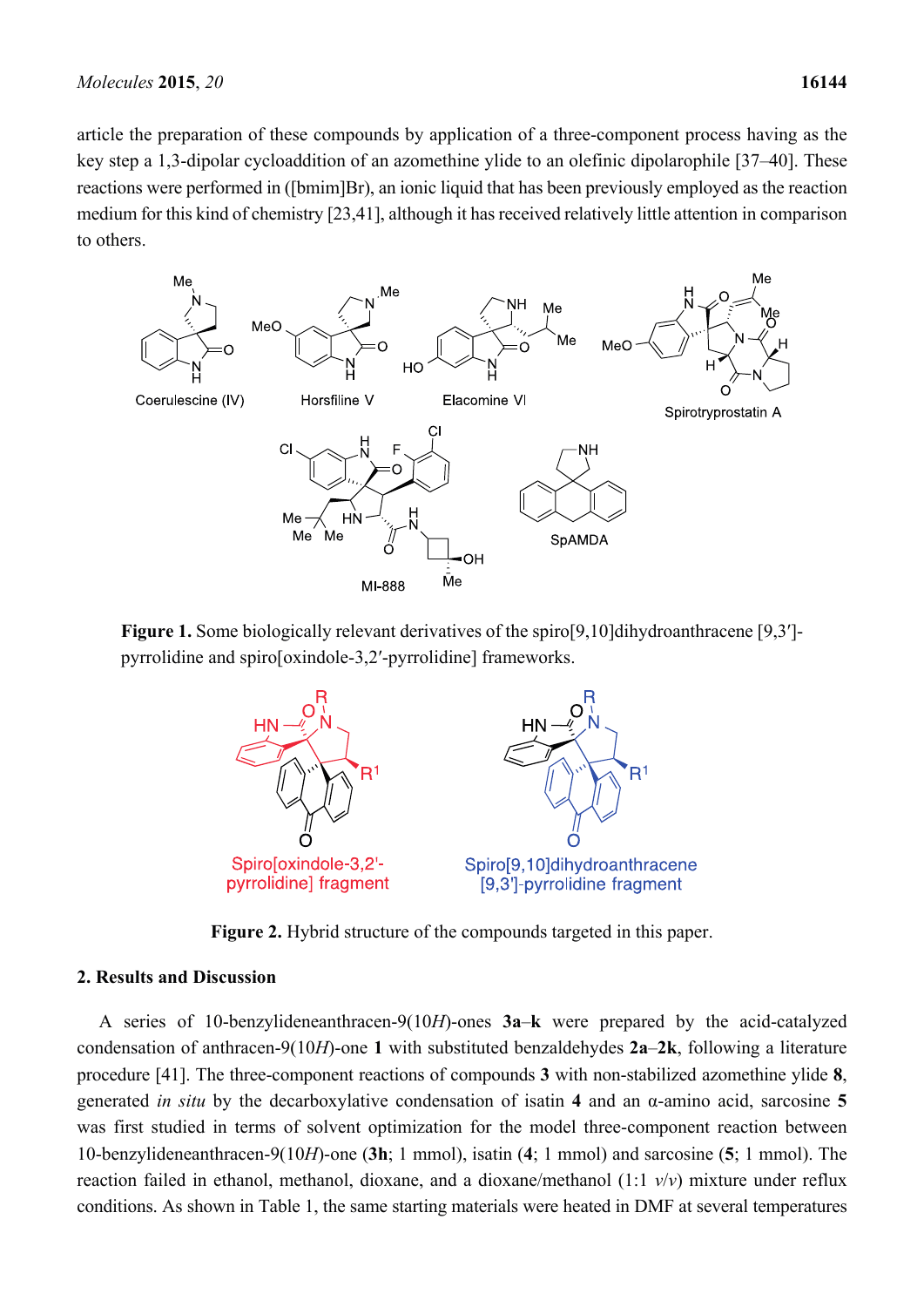article the preparation of these compounds by application of a three-component process having as the key step a 1,3-dipolar cycloaddition of an azomethine ylide to an olefinic dipolarophile [37–40]. These reactions were performed in ([bmim]Br), an ionic liquid that has been previously employed as the reaction medium for this kind of chemistry [23,41], although it has received relatively little attention in comparison to others.



**Figure 1.** Some biologically relevant derivatives of the spiro[9,10]dihydroanthracene [9,3′] pyrrolidine and spiro[oxindole-3,2′-pyrrolidine] frameworks.



**Figure 2.** Hybrid structure of the compounds targeted in this paper.

#### **2. Results and Discussion**

A series of 10-benzylideneanthracen-9(10*H*)-ones **3a**–**k** were prepared by the acid-catalyzed condensation of anthracen-9(10*H*)-one **1** with substituted benzaldehydes **2a**–**2k**, following a literature procedure [41]. The three-component reactions of compounds **3** with non-stabilized azomethine ylide **8**, generated *in situ* by the decarboxylative condensation of isatin **4** and an α-amino acid, sarcosine **5** was first studied in terms of solvent optimization for the model three-component reaction between 10-benzylideneanthracen-9(10*H*)-one (**3h**; 1 mmol), isatin (**4**; 1 mmol) and sarcosine (**5**; 1 mmol). The reaction failed in ethanol, methanol, dioxane, and a dioxane/methanol (1:1 *v*/*v*) mixture under reflux conditions. As shown in Table 1, the same starting materials were heated in DMF at several temperatures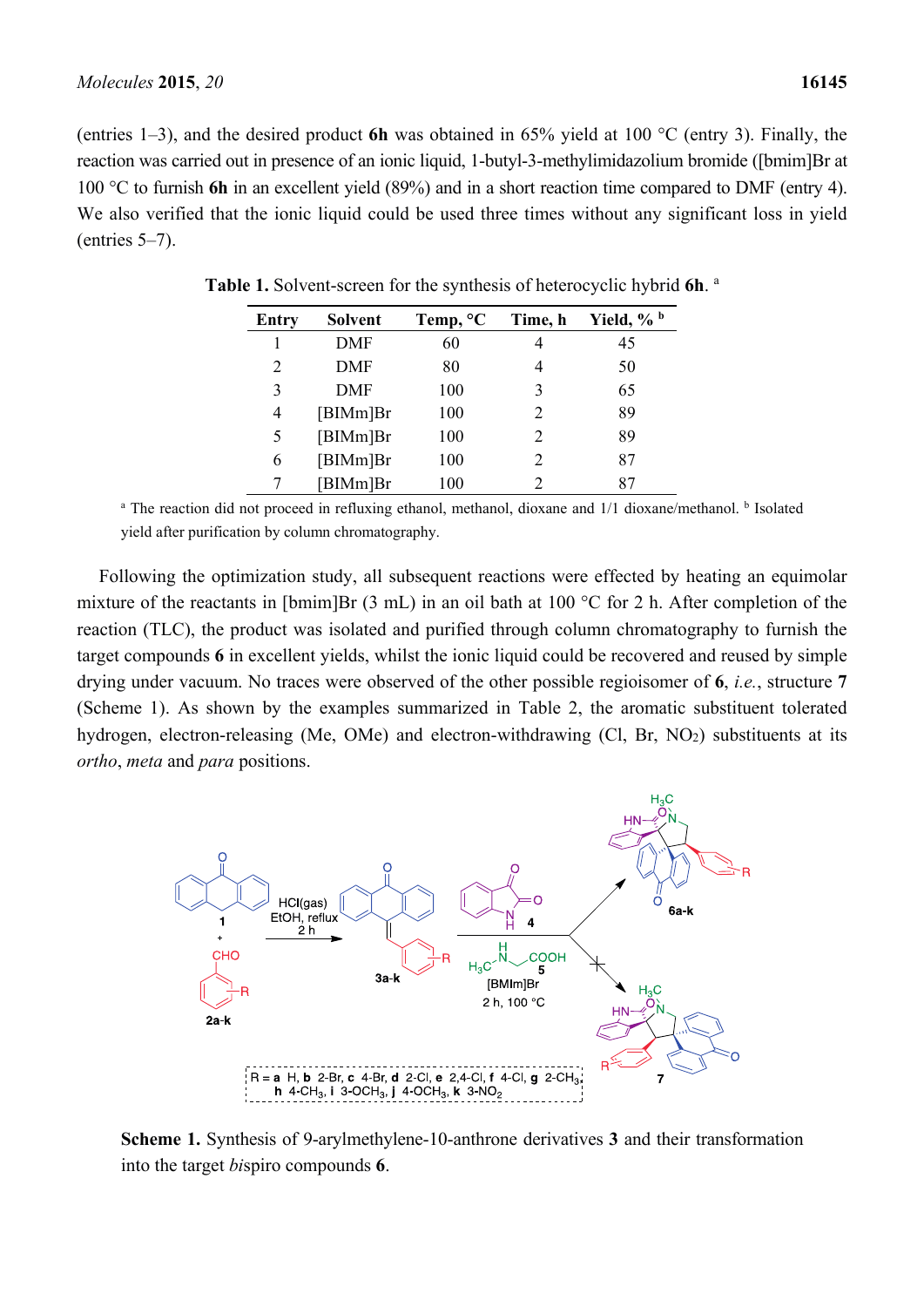(entries 1–3), and the desired product **6h** was obtained in 65% yield at 100 °C (entry 3). Finally, the reaction was carried out in presence of an ionic liquid, 1-butyl-3-methylimidazolium bromide ([bmim]Br at 100 °C to furnish **6h** in an excellent yield (89%) and in a short reaction time compared to DMF (entry 4). We also verified that the ionic liquid could be used three times without any significant loss in yield (entries 5–7).

| <b>Entry</b> | <b>Solvent</b> | Temp, <sup>o</sup> C | Time, h | Yield, % b |
|--------------|----------------|----------------------|---------|------------|
| 1            | DMF            | 60                   | 4       | 45         |
| 2            | <b>DMF</b>     | 80                   | 4       | 50         |
| 3            | <b>DMF</b>     | 100                  | 3       | 65         |
| 4            | [BlMm]Br       | 100                  | 2       | 89         |
| 5            | [BlMm]Br       | 100                  | 2       | 89         |
| 6            | [BlMm]Br       | 100                  | 2       | 87         |
|              | [BIMm]Br       | 100                  | 2       | 87         |

**Table 1.** Solvent-screen for the synthesis of heterocyclic hybrid **6h**. a

<sup>a</sup> The reaction did not proceed in refluxing ethanol, methanol, dioxane and 1/1 dioxane/methanol. <sup>b</sup> Isolated yield after purification by column chromatography.

Following the optimization study, all subsequent reactions were effected by heating an equimolar mixture of the reactants in [bmim]Br (3 mL) in an oil bath at 100 °C for 2 h. After completion of the reaction (TLC), the product was isolated and purified through column chromatography to furnish the target compounds **6** in excellent yields, whilst the ionic liquid could be recovered and reused by simple drying under vacuum. No traces were observed of the other possible regioisomer of **6**, *i.e.*, structure **7** (Scheme 1). As shown by the examples summarized in Table 2, the aromatic substituent tolerated hydrogen, electron-releasing (Me, OMe) and electron-withdrawing (Cl, Br, NO<sub>2</sub>) substituents at its *ortho*, *meta* and *para* positions.



**Scheme 1.** Synthesis of 9-arylmethylene-10-anthrone derivatives **3** and their transformation into the target *bi*spiro compounds **6**.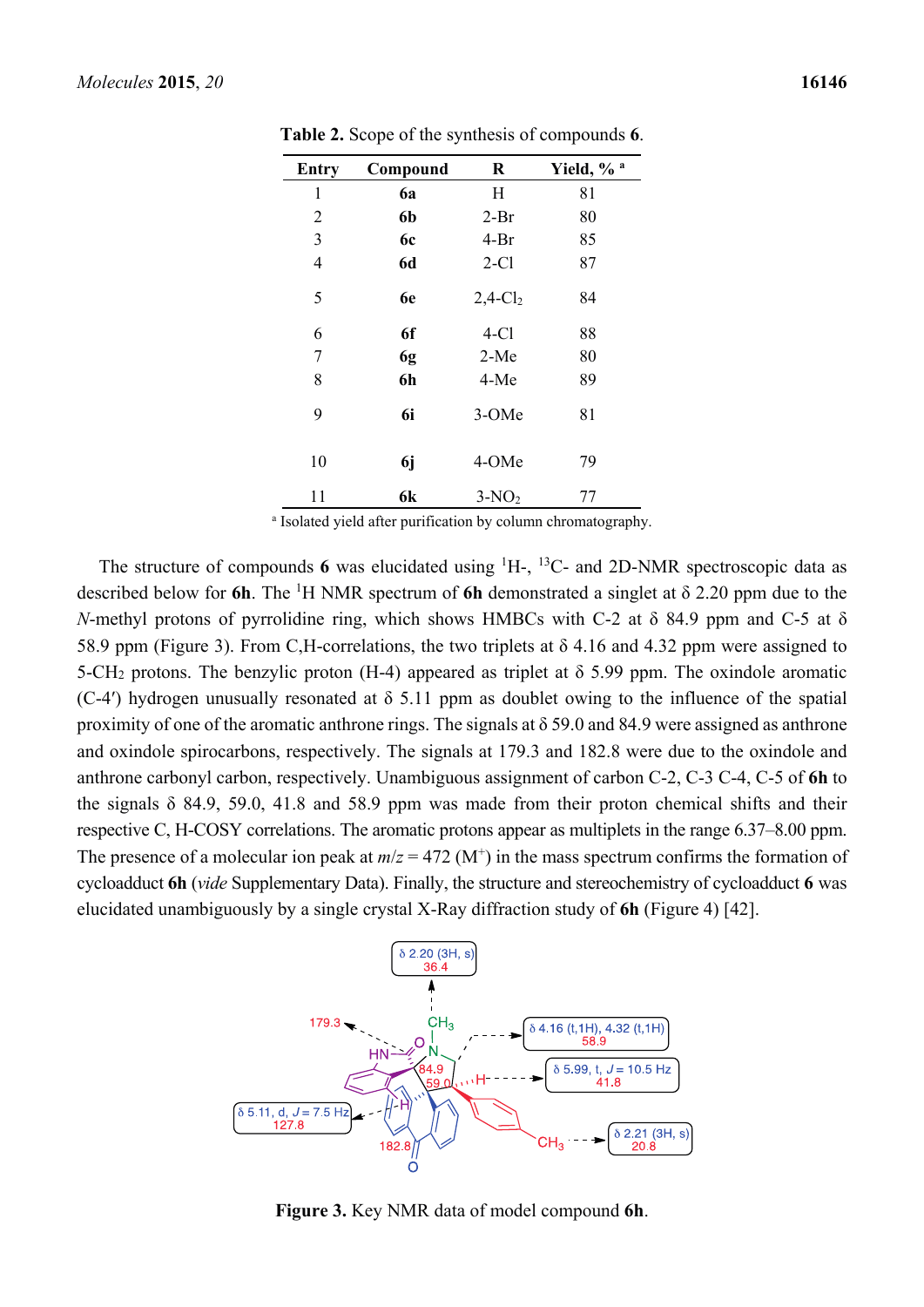| <b>Entry</b>   | Compound  | $\bf R$                | Yield, % <sup>a</sup> |
|----------------|-----------|------------------------|-----------------------|
| 1              | 6a        | H                      | 81                    |
| 2              | 6b        | $2-Br$                 | 80                    |
| 3              | 6c        | $4-Br$                 | 85                    |
| $\overline{4}$ | <b>6d</b> | $2-C1$                 | 87                    |
| 5              | 6e        | $2,4$ -Cl <sub>2</sub> | 84                    |
| 6              | 6f        | $4-C1$                 | 88                    |
| 7              | 6g        | $2-Me$                 | 80                    |
| 8              | 6h        | 4-Me                   | 89                    |
| 9              | 6i        | 3-OMe                  | 81                    |
| 10             | 6j        | 4-OMe                  | 79                    |
| 11             | 6k        | $3-NO2$                | 77                    |

**Table 2.** Scope of the synthesis of compounds **6**.

a Isolated yield after purification by column chromatography.

The structure of compounds 6 was elucidated using  $^1$ H-,  $^13$ C- and 2D-NMR spectroscopic data as described below for **6h**. The <sup>1</sup>H NMR spectrum of **6h** demonstrated a singlet at  $\delta$  2.20 ppm due to the *N*-methyl protons of pyrrolidine ring, which shows HMBCs with C-2 at δ 84.9 ppm and C-5 at δ 58.9 ppm (Figure 3). From C,H-correlations, the two triplets at δ 4.16 and 4.32 ppm were assigned to 5-CH<sub>2</sub> protons. The benzylic proton (H-4) appeared as triplet at  $\delta$  5.99 ppm. The oxindole aromatic (C-4′) hydrogen unusually resonated at δ 5.11 ppm as doublet owing to the influence of the spatial proximity of one of the aromatic anthrone rings. The signals at  $\delta$  59.0 and 84.9 were assigned as anthrone and oxindole spirocarbons, respectively. The signals at 179.3 and 182.8 were due to the oxindole and anthrone carbonyl carbon, respectively. Unambiguous assignment of carbon C-2, C-3 C-4, C-5 of **6h** to the signals  $\delta$  84.9, 59.0, 41.8 and 58.9 ppm was made from their proton chemical shifts and their respective C, H-COSY correlations. The aromatic protons appear as multiplets in the range 6.37–8.00 ppm. The presence of a molecular ion peak at  $m/z = 472$  (M<sup>+</sup>) in the mass spectrum confirms the formation of cycloadduct **6h** (*vide* Supplementary Data). Finally, the structure and stereochemistry of cycloadduct **6** was elucidated unambiguously by a single crystal X-Ray diffraction study of **6h** (Figure 4) [42].



**Figure 3.** Key NMR data of model compound **6h**.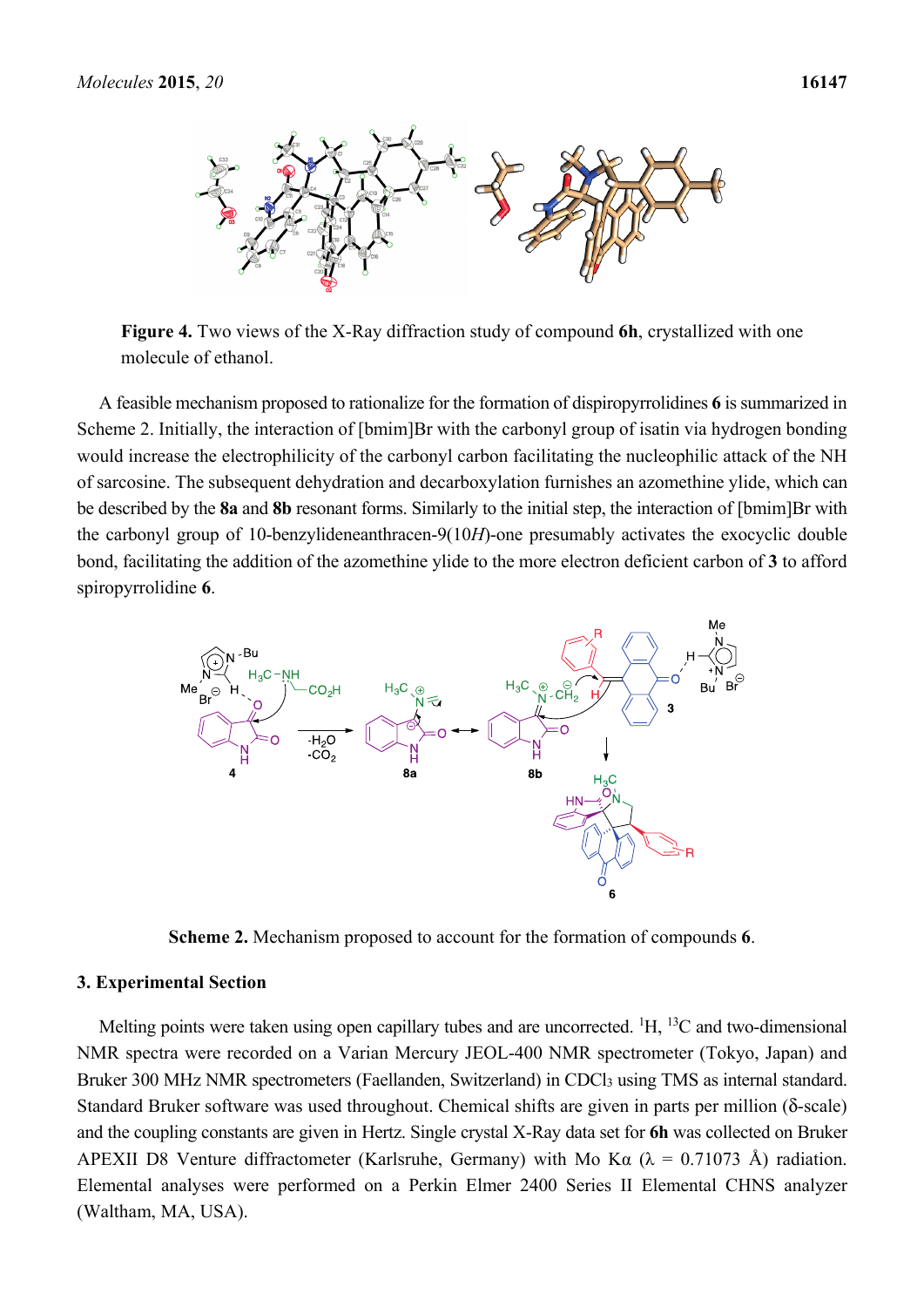

**Figure 4.** Two views of the X-Ray diffraction study of compound **6h**, crystallized with one molecule of ethanol.

A feasible mechanism proposed to rationalize for the formation of dispiropyrrolidines **6** is summarized in Scheme 2. Initially, the interaction of [bmim]Br with the carbonyl group of isatin via hydrogen bonding would increase the electrophilicity of the carbonyl carbon facilitating the nucleophilic attack of the NH of sarcosine. The subsequent dehydration and decarboxylation furnishes an azomethine ylide, which can be described by the **8a** and **8b** resonant forms. Similarly to the initial step, the interaction of [bmim]Br with the carbonyl group of 10-benzylideneanthracen-9(10*H*)-one presumably activates the exocyclic double bond, facilitating the addition of the azomethine ylide to the more electron deficient carbon of **3** to afford spiropyrrolidine **6**.



**Scheme 2.** Mechanism proposed to account for the formation of compounds **6**.

#### **3. Experimental Section**

Melting points were taken using open capillary tubes and are uncorrected. <sup>1</sup>H, <sup>13</sup>C and two-dimensional NMR spectra were recorded on a Varian Mercury JEOL-400 NMR spectrometer (Tokyo, Japan) and Bruker 300 MHz NMR spectrometers (Faellanden, Switzerland) in CDCl<sub>3</sub> using TMS as internal standard. Standard Bruker software was used throughout. Chemical shifts are given in parts per million (δ-scale) and the coupling constants are given in Hertz. Single crystal X-Ray data set for **6h** was collected on Bruker APEXII D8 Venture diffractometer (Karlsruhe, Germany) with Mo K $\alpha$  ( $\lambda$  = 0.71073 Å) radiation. Elemental analyses were performed on a Perkin Elmer 2400 Series II Elemental CHNS analyzer (Waltham, MA, USA).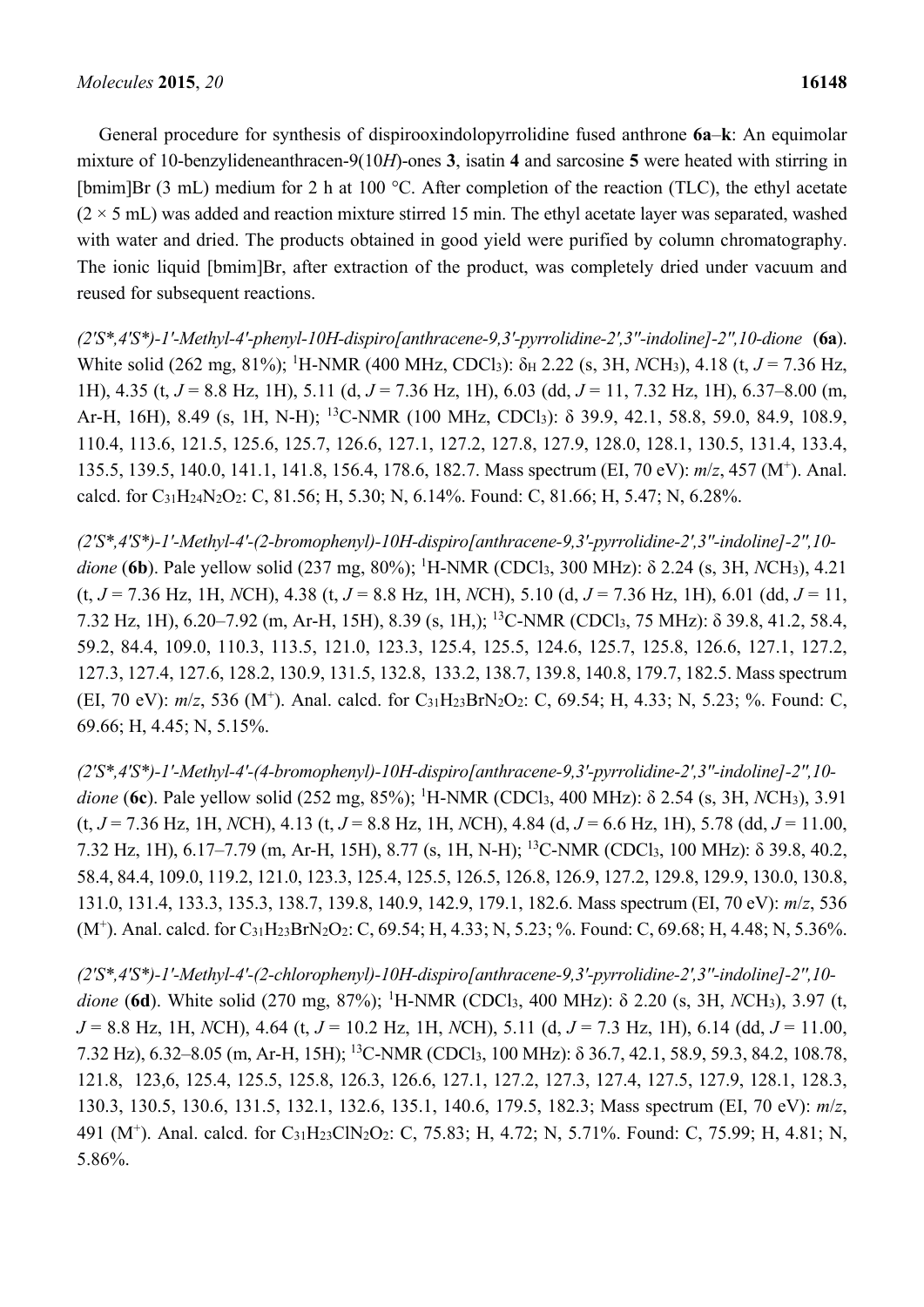General procedure for synthesis of dispirooxindolopyrrolidine fused anthrone **6a**–**k**: An equimolar mixture of 10-benzylideneanthracen-9(10*H*)-ones **3**, isatin **4** and sarcosine **5** were heated with stirring in [bmim]Br (3 mL) medium for 2 h at 100 °C. After completion of the reaction (TLC), the ethyl acetate  $(2 \times 5 \text{ mL})$  was added and reaction mixture stirred 15 min. The ethyl acetate layer was separated, washed with water and dried. The products obtained in good yield were purified by column chromatography. The ionic liquid [bmim]Br, after extraction of the product, was completely dried under vacuum and reused for subsequent reactions.

(2'S\*,4'S\*)-1'-Methyl-4'-phenyl-10H-dispirolanthracene-9.3'-pyrrolidine-2',3"-indolinel-2",10-dione (6a). White solid (262 mg, 81%); <sup>1</sup>H-NMR (400 MHz, CDCl<sub>3</sub>): δ<sub>H</sub> 2.22 (s, 3H, *NCH*<sub>3</sub>), 4.18 (t, *J* = 7.36 Hz, 1H), 4.35 (t, *J* = 8.8 Hz, 1H), 5.11 (d, *J* = 7.36 Hz, 1H), 6.03 (dd, *J* = 11, 7.32 Hz, 1H), 6.37–8.00 (m, Ar-H, 16H), 8.49 (s, 1H, N-H); <sup>13</sup>C-NMR (100 MHz, CDCl<sub>3</sub>): δ 39.9, 42.1, 58.8, 59.0, 84.9, 108.9, 110.4, 113.6, 121.5, 125.6, 125.7, 126.6, 127.1, 127.2, 127.8, 127.9, 128.0, 128.1, 130.5, 131.4, 133.4, 135.5, 139.5, 140.0, 141.1, 141.8, 156.4, 178.6, 182.7. Mass spectrum (EI, 70 eV): *m*/*z*, 457 (M+). Anal. calcd. for C31H24N2O2: C, 81.56; H, 5.30; N, 6.14%. Found: C, 81.66; H, 5.47; N, 6.28%.

*(2′S\*,4′S\*)-1′-Methyl-4′-(2-bromophenyl)-10H-dispiro[anthracene-9,3′-pyrrolidine-2′,3′′-indoline]-2′′,10 dione* (**6b**). Pale yellow solid (237 mg, 80%); <sup>1</sup> H-NMR (CDCl3, 300 MHz): δ 2.24 (s, 3H, *N*CH3), 4.21 (t, *J* = 7.36 Hz, 1H, *N*CH), 4.38 (t, *J* = 8.8 Hz, 1H, *N*CH), 5.10 (d, *J* = 7.36 Hz, 1H), 6.01 (dd, *J* = 11, 7.32 Hz, 1H), 6.20–7.92 (m, Ar-H, 15H), 8.39 (s, 1H,); 13C-NMR (CDCl3, 75 MHz): δ 39.8, 41.2, 58.4, 59.2, 84.4, 109.0, 110.3, 113.5, 121.0, 123.3, 125.4, 125.5, 124.6, 125.7, 125.8, 126.6, 127.1, 127.2, 127.3, 127.4, 127.6, 128.2, 130.9, 131.5, 132.8, 133.2, 138.7, 139.8, 140.8, 179.7, 182.5. Mass spectrum (EI, 70 eV): *m*/*z*, 536 (M+). Anal. calcd. for C31H23BrN2O2: C, 69.54; H, 4.33; N, 5.23; %. Found: C, 69.66; H, 4.45; N, 5.15%.

*(2′S\*,4′S\*)-1′-Methyl-4′-(4-bromophenyl)-10H-dispiro[anthracene-9,3′-pyrrolidine-2′,3′′-indoline]-2′′,10 dione* (**6c**). Pale yellow solid (252 mg, 85%); <sup>1</sup> H-NMR (CDCl3, 400 MHz): δ 2.54 (s, 3H, *N*CH3), 3.91 (t, *J* = 7.36 Hz, 1H, *N*CH), 4.13 (t, *J* = 8.8 Hz, 1H, *N*CH), 4.84 (d, *J* = 6.6 Hz, 1H), 5.78 (dd, *J* = 11.00, 7.32 Hz, 1H), 6.17–7.79 (m, Ar-H, 15H), 8.77 (s, 1H, N-H); 13C-NMR (CDCl3, 100 MHz): δ 39.8, 40.2, 58.4, 84.4, 109.0, 119.2, 121.0, 123.3, 125.4, 125.5, 126.5, 126.8, 126.9, 127.2, 129.8, 129.9, 130.0, 130.8, 131.0, 131.4, 133.3, 135.3, 138.7, 139.8, 140.9, 142.9, 179.1, 182.6. Mass spectrum (EI, 70 eV): *m*/*z*, 536 (M<sup>+</sup>). Anal. calcd. for C<sub>31</sub>H<sub>23</sub>BrN<sub>2</sub>O<sub>2</sub>: C, 69.54; H, 4.33; N, 5.23; %. Found: C, 69.68; H, 4.48; N, 5.36%.

(2'S\*,4'S\*)-1'-Methyl-4'-(2-chlorophenyl)-10H-dispiro[anthracene-9,3'-pyrrolidine-2',3"-indoline]-2",10*dione* (**6d**). White solid (270 mg, 87%); <sup>1</sup> H-NMR (CDCl3, 400 MHz): δ 2.20 (s, 3H, *N*CH3), 3.97 (t, *J* = 8.8 Hz, 1H, *N*CH), 4.64 (t, *J* = 10.2 Hz, 1H, *N*CH), 5.11 (d, *J* = 7.3 Hz, 1H), 6.14 (dd, *J* = 11.00, 7.32 Hz), 6.32–8.05 (m, Ar-H, 15H); 13C-NMR (CDCl3, 100 MHz): δ 36.7, 42.1, 58.9, 59.3, 84.2, 108.78, 121.8, 123,6, 125.4, 125.5, 125.8, 126.3, 126.6, 127.1, 127.2, 127.3, 127.4, 127.5, 127.9, 128.1, 128.3, 130.3, 130.5, 130.6, 131.5, 132.1, 132.6, 135.1, 140.6, 179.5, 182.3; Mass spectrum (EI, 70 eV): *m*/*z*, 491 (M+). Anal. calcd. for C31H23ClN2O2: C, 75.83; H, 4.72; N, 5.71%. Found: C, 75.99; H, 4.81; N, 5.86%.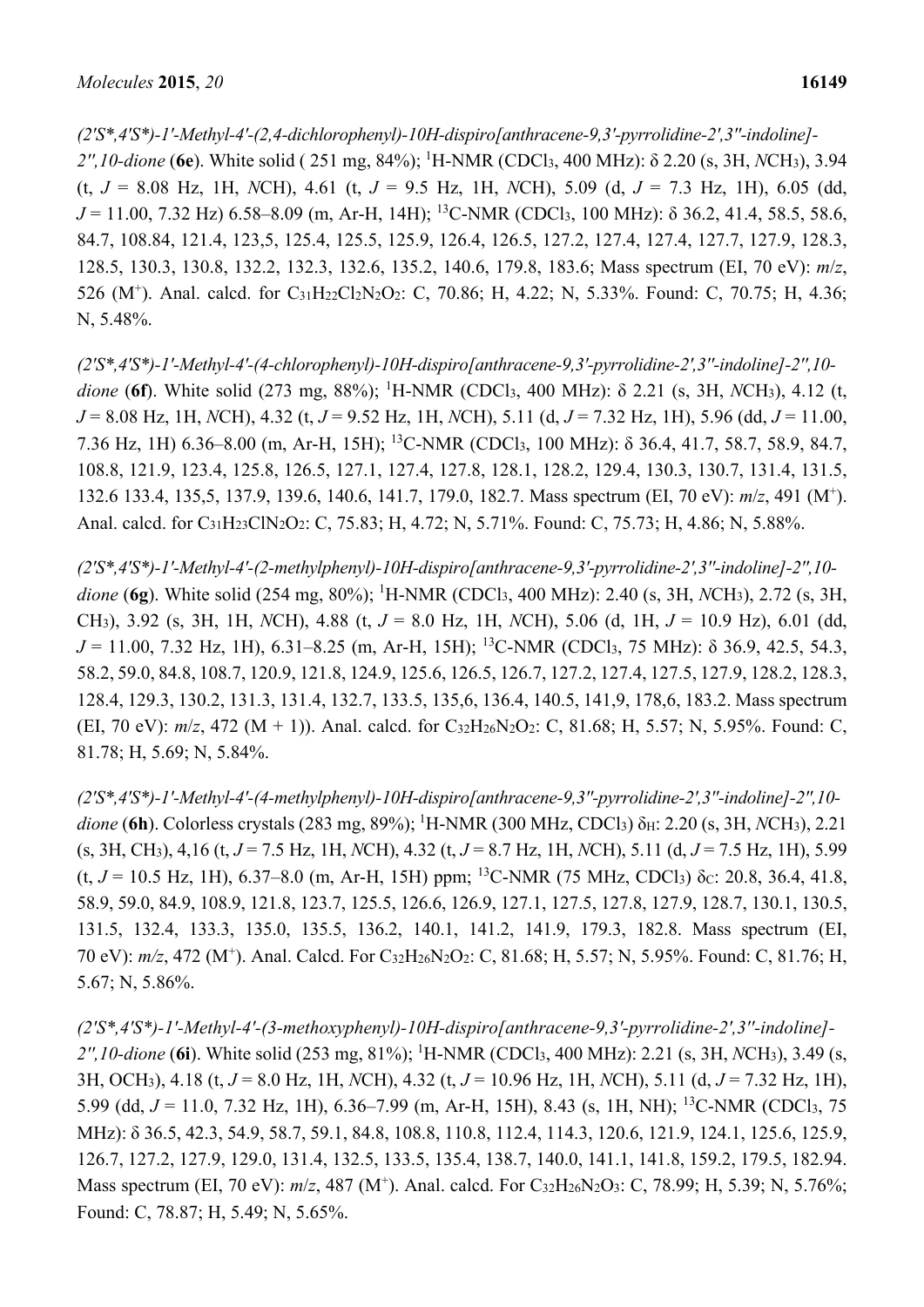*(2′S\*,4′S\*)-1′-Methyl-4′-(2,4-dichlorophenyl)-10H-dispiro[anthracene-9,3′-pyrrolidine-2′,3′′-indoline]-*

*2′′,10-dione* (**6e**). White solid ( 251 mg, 84%); 1 H-NMR (CDCl3, 400 MHz): δ 2.20 (s, 3H, *N*CH3), 3.94 (t, *J* = 8.08 Hz, 1H, *N*CH), 4.61 (t, *J* = 9.5 Hz, 1H, *N*CH), 5.09 (d, *J* = 7.3 Hz, 1H), 6.05 (dd, *J* = 11.00, 7.32 Hz) 6.58–8.09 (m, Ar-H, 14H); 13C-NMR (CDCl3, 100 MHz): δ 36.2, 41.4, 58.5, 58.6, 84.7, 108.84, 121.4, 123,5, 125.4, 125.5, 125.9, 126.4, 126.5, 127.2, 127.4, 127.4, 127.7, 127.9, 128.3, 128.5, 130.3, 130.8, 132.2, 132.3, 132.6, 135.2, 140.6, 179.8, 183.6; Mass spectrum (EI, 70 eV): *m*/*z*, 526 (M<sup>+</sup>). Anal. calcd. for C<sub>31</sub>H<sub>22</sub>Cl<sub>2</sub>N<sub>2</sub>O<sub>2</sub>: C, 70.86; H, 4.22; N, 5.33%. Found: C, 70.75; H, 4.36; N, 5.48%.

(2'S\*,4'S\*)-1'-Methyl-4'-(4-chlorophenyl)-10H-dispiro[anthracene-9,3'-pyrrolidine-2',3"-indoline]-2",10*dione* (**6f**). White solid (273 mg, 88%); <sup>1</sup> H-NMR (CDCl3, 400 MHz): δ 2.21 (s, 3H, *N*CH3), 4.12 (t, *J* = 8.08 Hz, 1H, *N*CH), 4.32 (t, *J* = 9.52 Hz, 1H, *N*CH), 5.11 (d, *J* = 7.32 Hz, 1H), 5.96 (dd, *J* = 11.00, 7.36 Hz, 1H) 6.36–8.00 (m, Ar-H, 15H); 13C-NMR (CDCl3, 100 MHz): δ 36.4, 41.7, 58.7, 58.9, 84.7, 108.8, 121.9, 123.4, 125.8, 126.5, 127.1, 127.4, 127.8, 128.1, 128.2, 129.4, 130.3, 130.7, 131.4, 131.5, 132.6 133.4, 135,5, 137.9, 139.6, 140.6, 141.7, 179.0, 182.7. Mass spectrum (EI, 70 eV): *m*/*z*, 491 (M+ ). Anal. calcd. for C<sub>31</sub>H<sub>23</sub>ClN<sub>2</sub>O<sub>2</sub>: C, 75.83; H, 4.72; N, 5.71%. Found: C, 75.73; H, 4.86; N, 5.88%.

(2'S\*,4'S\*)-1'-Methyl-4'-(2-methylphenyl)-10H-dispiro[anthracene-9,3'-pyrrolidine-2',3"-indoline]-2",10dione (6g). White solid (254 mg, 80%); <sup>1</sup>H-NMR (CDCl<sub>3</sub>, 400 MHz): 2.40 (s, 3H, *NCH3)*, 2.72 (s, 3H, CH3), 3.92 (s, 3H, 1H, *N*CH), 4.88 (t, *J* = 8.0 Hz, 1H, *N*CH), 5.06 (d, 1H, *J* = 10.9 Hz), 6.01 (dd, *J* = 11.00, 7.32 Hz, 1H), 6.31–8.25 (m, Ar-H, 15H); 13C-NMR (CDCl3, 75 MHz): δ 36.9, 42.5, 54.3, 58.2, 59.0, 84.8, 108.7, 120.9, 121.8, 124.9, 125.6, 126.5, 126.7, 127.2, 127.4, 127.5, 127.9, 128.2, 128.3, 128.4, 129.3, 130.2, 131.3, 131.4, 132.7, 133.5, 135,6, 136.4, 140.5, 141,9, 178,6, 183.2. Mass spectrum (EI, 70 eV):  $m/z$ , 472 (M + 1)). Anal. calcd. for C<sub>32</sub>H<sub>26</sub>N<sub>2</sub>O<sub>2</sub>: C, 81.68; H, 5.57; N, 5.95%. Found: C, 81.78; H, 5.69; N, 5.84%.

(2'S\*,4'S\*)-1'-Methyl-4'-(4-methylphenyl)-10H-dispiro[anthracene-9,3"-pyrrolidine-2',3"-indoline]-2",10*dione* (**6h**). Colorless crystals (283 mg, 89%); 1 H-NMR (300 MHz, CDCl3) δH: 2.20 (s, 3H, *N*CH3), 2.21 (s, 3H, CH3), 4,16 (t, *J* = 7.5 Hz, 1H, *N*CH), 4.32 (t, *J* = 8.7 Hz, 1H, *N*CH), 5.11 (d, *J* = 7.5 Hz, 1H), 5.99 (t,  $J = 10.5$  Hz, 1H),  $6.37-8.0$  (m, Ar-H, 15H) ppm; <sup>13</sup>C-NMR (75 MHz, CDCl<sub>3</sub>)  $\delta$ c: 20.8, 36.4, 41.8, 58.9, 59.0, 84.9, 108.9, 121.8, 123.7, 125.5, 126.6, 126.9, 127.1, 127.5, 127.8, 127.9, 128.7, 130.1, 130.5, 131.5, 132.4, 133.3, 135.0, 135.5, 136.2, 140.1, 141.2, 141.9, 179.3, 182.8. Mass spectrum (EI, 70 eV): *m/z*, 472 (M+). Anal. Calcd. For C32H26N2O2: C, 81.68; H, 5.57; N, 5.95%. Found: C, 81.76; H, 5.67; N, 5.86%.

*(2′S\*,4′S\*)-1′-Methyl-4′-(3-methoxyphenyl)-10H-dispiro[anthracene-9,3′-pyrrolidine-2′,3′′-indoline]- 2′′,10-dione* (**6i**). White solid (253 mg, 81%); 1 H-NMR (CDCl3, 400 MHz): 2.21 (s, 3H, *N*CH3), 3.49 (s, 3H, OCH3), 4.18 (t, *J* = 8.0 Hz, 1H, *N*CH), 4.32 (t, *J* = 10.96 Hz, 1H, *N*CH), 5.11 (d, *J* = 7.32 Hz, 1H), 5.99 (dd, *J* = 11.0, 7.32 Hz, 1H), 6.36–7.99 (m, Ar-H, 15H), 8.43 (s, 1H, NH); 13C-NMR (CDCl3, 75 MHz): δ 36.5, 42.3, 54.9, 58.7, 59.1, 84.8, 108.8, 110.8, 112.4, 114.3, 120.6, 121.9, 124.1, 125.6, 125.9, 126.7, 127.2, 127.9, 129.0, 131.4, 132.5, 133.5, 135.4, 138.7, 140.0, 141.1, 141.8, 159.2, 179.5, 182.94. Mass spectrum (EI, 70 eV): *m*/*z*, 487 (M+). Anal. calcd. For C32H26N2O3: C, 78.99; H, 5.39; N, 5.76%; Found: C, 78.87; H, 5.49; N, 5.65%.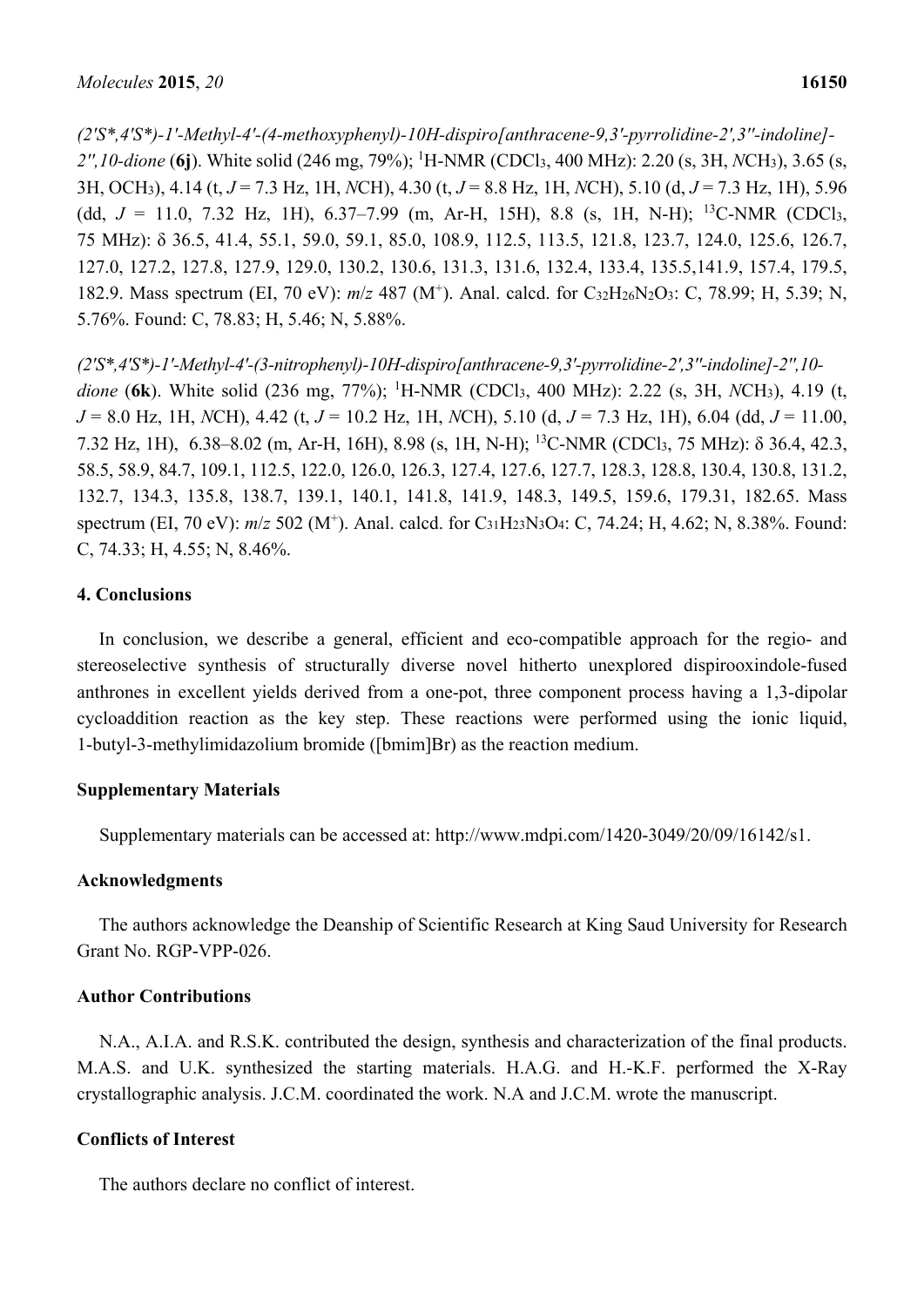*(2′S\*,4′S\*)-1′-Methyl-4′-(4-methoxyphenyl)-10H-dispiro[anthracene-9,3′-pyrrolidine-2′,3′′-indoline]- 2′′,10-dione* (**6j**). White solid (246 mg, 79%); 1 H-NMR (CDCl3, 400 MHz): 2.20 (s, 3H, *N*CH3), 3.65 (s, 3H, OCH3), 4.14 (t, *J* = 7.3 Hz, 1H, *N*CH), 4.30 (t, *J* = 8.8 Hz, 1H, *N*CH), 5.10 (d, *J* = 7.3 Hz, 1H), 5.96 (dd,  $J = 11.0$ , 7.32 Hz, 1H), 6.37–7.99 (m, Ar-H, 15H), 8.8 (s, 1H, N-H); <sup>13</sup>C-NMR (CDCl<sub>3</sub>, 75 MHz): δ 36.5, 41.4, 55.1, 59.0, 59.1, 85.0, 108.9, 112.5, 113.5, 121.8, 123.7, 124.0, 125.6, 126.7, 127.0, 127.2, 127.8, 127.9, 129.0, 130.2, 130.6, 131.3, 131.6, 132.4, 133.4, 135.5,141.9, 157.4, 179.5, 182.9. Mass spectrum (EI, 70 eV):  $m/z$  487 (M<sup>+</sup>). Anal. calcd. for C<sub>32</sub>H<sub>26</sub>N<sub>2</sub>O<sub>3</sub>: C, 78.99; H, 5.39; N, 5.76%. Found: C, 78.83; H, 5.46; N, 5.88%.

*(2′S\*,4′S\*)-1′-Methyl-4′-(3-nitrophenyl)-10H-dispiro[anthracene-9,3′-pyrrolidine-2′,3′′-indoline]-2′′,10* dione (6k). White solid (236 mg, 77%); <sup>1</sup>H-NMR (CDCl<sub>3</sub>, 400 MHz): 2.22 (s, 3H, *NCH*<sub>3</sub>), 4.19 (t, *J* = 8.0 Hz, 1H, *N*CH), 4.42 (t, *J* = 10.2 Hz, 1H, *N*CH), 5.10 (d, *J* = 7.3 Hz, 1H), 6.04 (dd, *J* = 11.00, 7.32 Hz, 1H), 6.38–8.02 (m, Ar-H, 16H), 8.98 (s, 1H, N-H); 13C-NMR (CDCl3, 75 MHz): δ 36.4, 42.3, 58.5, 58.9, 84.7, 109.1, 112.5, 122.0, 126.0, 126.3, 127.4, 127.6, 127.7, 128.3, 128.8, 130.4, 130.8, 131.2, 132.7, 134.3, 135.8, 138.7, 139.1, 140.1, 141.8, 141.9, 148.3, 149.5, 159.6, 179.31, 182.65. Mass spectrum (EI, 70 eV):  $m/z$  502 (M<sup>+</sup>). Anal. calcd. for C<sub>31</sub>H<sub>23</sub>N<sub>3</sub>O<sub>4</sub>: C, 74.24; H, 4.62; N, 8.38%. Found: C, 74.33; H, 4.55; N, 8.46%.

### **4. Conclusions**

In conclusion, we describe a general, efficient and eco-compatible approach for the regio- and stereoselective synthesis of structurally diverse novel hitherto unexplored dispirooxindole-fused anthrones in excellent yields derived from a one-pot, three component process having a 1,3-dipolar cycloaddition reaction as the key step. These reactions were performed using the ionic liquid, 1-butyl-3-methylimidazolium bromide ([bmim]Br) as the reaction medium.

## **Supplementary Materials**

Supplementary materials can be accessed at: http://www.mdpi.com/1420-3049/20/09/16142/s1.

#### **Acknowledgments**

The authors acknowledge the Deanship of Scientific Research at King Saud University for Research Grant No. RGP-VPP-026.

## **Author Contributions**

N.A., A.I.A. and R.S.K. contributed the design, synthesis and characterization of the final products. M.A.S. and U.K. synthesized the starting materials. H.A.G. and H.-K.F. performed the X-Ray crystallographic analysis. J.C.M. coordinated the work. N.A and J.C.M. wrote the manuscript.

## **Conflicts of Interest**

The authors declare no conflict of interest.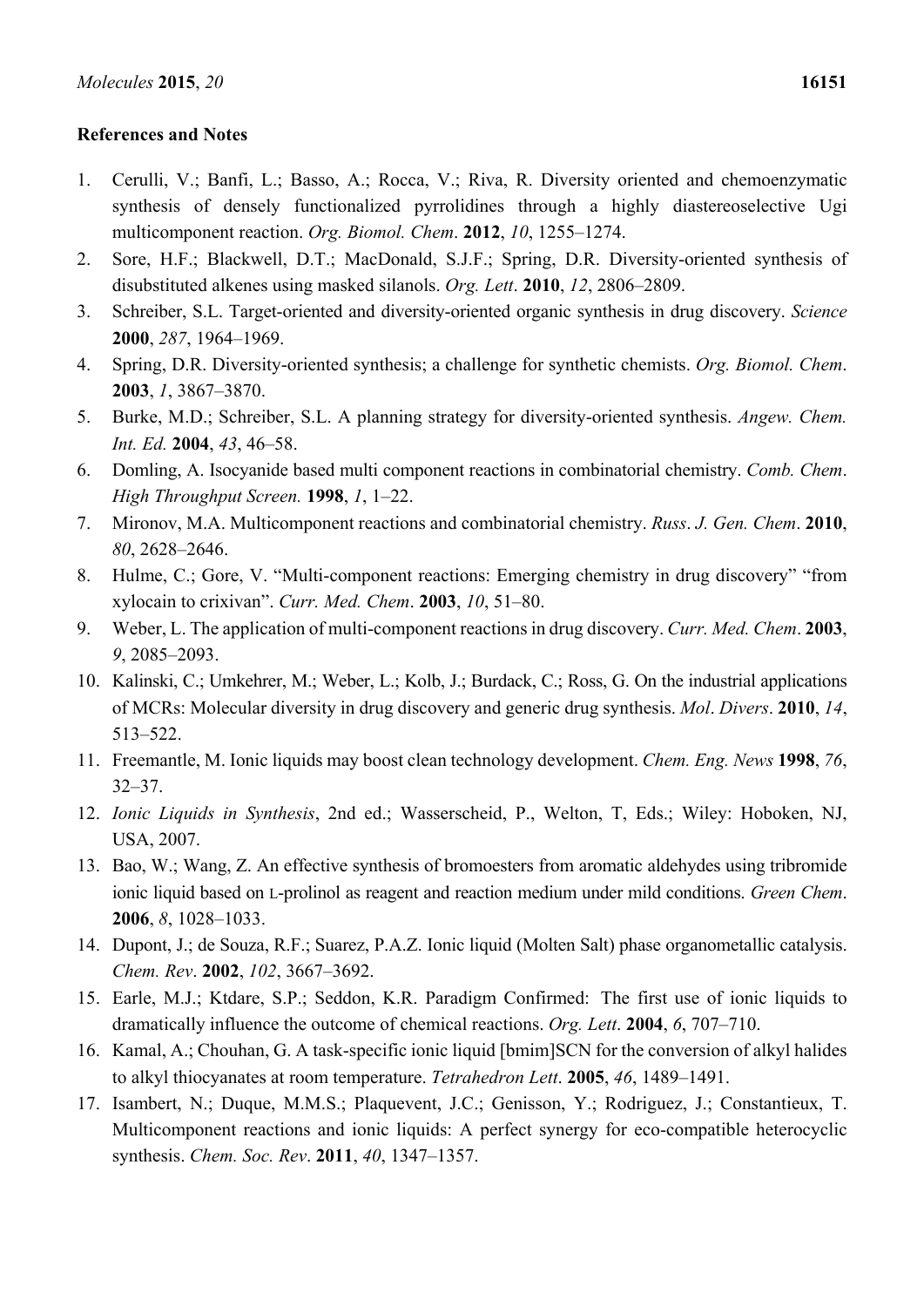# **References and Notes**

- 1. Cerulli, V.; Banfi, L.; Basso, A.; Rocca, V.; Riva, R. Diversity oriented and chemoenzymatic synthesis of densely functionalized pyrrolidines through a highly diastereoselective Ugi multicomponent reaction. *Org. Biomol. Chem*. **2012**, *10*, 1255–1274.
- 2. Sore, H.F.; Blackwell, D.T.; MacDonald, S.J.F.; Spring, D.R. Diversity-oriented synthesis of disubstituted alkenes using masked silanols. *Org. Lett*. **2010**, *12*, 2806–2809.
- 3. Schreiber, S.L. Target-oriented and diversity-oriented organic synthesis in drug discovery. *Science* **2000**, *287*, 1964–1969.
- 4. Spring, D.R. Diversity-oriented synthesis; a challenge for synthetic chemists. *Org. Biomol. Chem*. **2003**, *1*, 3867–3870.
- 5. Burke, M.D.; Schreiber, S.L. A planning strategy for diversity-oriented synthesis. *Angew. Chem. Int. Ed.* **2004**, *43*, 46–58.
- 6. Domling, A. Isocyanide based multi component reactions in combinatorial chemistry. *Comb. Chem*. *High Throughput Screen.* **1998**, *1*, 1–22.
- 7. Mironov, M.A. Multicomponent reactions and combinatorial chemistry. *Russ*. *J. Gen. Chem*. **2010**, *80*, 2628–2646.
- 8. Hulme, C.; Gore, V. "Multi-component reactions: Emerging chemistry in drug discovery" "from xylocain to crixivan". *Curr. Med. Chem*. **2003**, *10*, 51–80.
- 9. Weber, L. The application of multi-component reactions in drug discovery. *Curr. Med. Chem*. **2003**, *9*, 2085–2093.
- 10. Kalinski, C.; Umkehrer, M.; Weber, L.; Kolb, J.; Burdack, C.; Ross, G. On the industrial applications of MCRs: Molecular diversity in drug discovery and generic drug synthesis. *Mol*. *Divers*. **2010**, *14*, 513–522.
- 11. Freemantle, M. Ionic liquids may boost clean technology development. *Chem. Eng. News* **1998**, *76*, 32–37.
- 12. *Ionic Liquids in Synthesis*, 2nd ed.; Wasserscheid, P., Welton, T, Eds.; Wiley: Hoboken, NJ, USA, 2007.
- 13. Bao, W.; Wang, Z. An effective synthesis of bromoesters from aromatic aldehydes using tribromide ionic liquid based on L-prolinol as reagent and reaction medium under mild conditions. *Green Chem*. **2006**, *8*, 1028–1033.
- 14. Dupont, J.; de Souza, R.F.; Suarez, P.A.Z. Ionic liquid (Molten Salt) phase organometallic catalysis. *Chem. Rev*. **2002**, *102*, 3667–3692.
- 15. Earle, M.J.; Ktdare, S.P.; Seddon, K.R. Paradigm Confirmed: The first use of ionic liquids to dramatically influence the outcome of chemical reactions. *Org. Lett*. **2004**, *6*, 707–710.
- 16. Kamal, A.; Chouhan, G. A task-specific ionic liquid [bmim]SCN for the conversion of alkyl halides to alkyl thiocyanates at room temperature. *Tetrahedron Lett*. **2005**, *46*, 1489–1491.
- 17. Isambert, N.; Duque, M.M.S.; Plaquevent, J.C.; Genisson, Y.; Rodriguez, J.; Constantieux, T. Multicomponent reactions and ionic liquids: A perfect synergy for eco-compatible heterocyclic synthesis. *Chem. Soc. Rev*. **2011**, *40*, 1347–1357.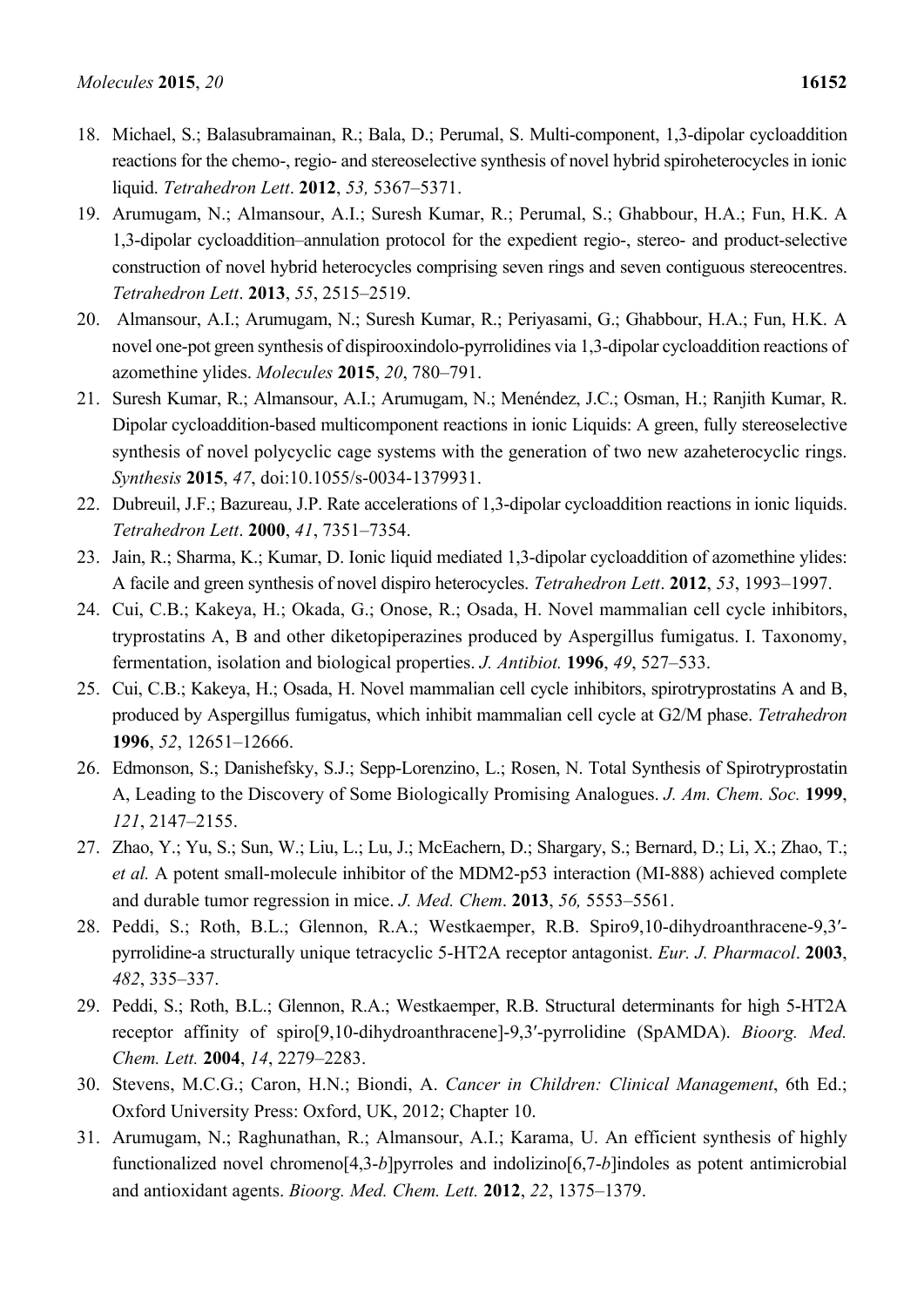- 18. Michael, S.; Balasubramainan, R.; Bala, D.; Perumal, S. Multi-component, 1,3-dipolar cycloaddition reactions for the chemo-, regio- and stereoselective synthesis of novel hybrid spiroheterocycles in ionic liquid. *Tetrahedron Lett*. **2012**, *53,* 5367–5371.
- 19. Arumugam, N.; Almansour, A.I.; Suresh Kumar, R.; Perumal, S.; Ghabbour, H.A.; Fun, H.K. A 1,3-dipolar cycloaddition–annulation protocol for the expedient regio-, stereo- and product-selective construction of novel hybrid heterocycles comprising seven rings and seven contiguous stereocentres. *Tetrahedron Lett*. **2013**, *55*, 2515–2519.
- 20. Almansour, A.I.; Arumugam, N.; Suresh Kumar, R.; Periyasami, G.; Ghabbour, H.A.; Fun, H.K. A novel one-pot green synthesis of dispirooxindolo-pyrrolidines via 1,3-dipolar cycloaddition reactions of azomethine ylides. *Molecules* **2015**, *20*, 780–791.
- 21. Suresh Kumar, R.; Almansour, A.I.; Arumugam, N.; Menéndez, J.C.; Osman, H.; Ranjith Kumar, R. Dipolar cycloaddition-based multicomponent reactions in ionic Liquids: A green, fully stereoselective synthesis of novel polycyclic cage systems with the generation of two new azaheterocyclic rings. *Synthesis* **2015**, *47*, doi:10.1055/s-0034-1379931.
- 22. Dubreuil, J.F.; Bazureau, J.P. Rate accelerations of 1,3-dipolar cycloaddition reactions in ionic liquids. *Tetrahedron Lett*. **2000**, *41*, 7351–7354.
- 23. Jain, R.; Sharma, K.; Kumar, D. Ionic liquid mediated 1,3-dipolar cycloaddition of azomethine ylides: A facile and green synthesis of novel dispiro heterocycles. *Tetrahedron Lett*. **2012**, *53*, 1993–1997.
- 24. Cui, C.B.; Kakeya, H.; Okada, G.; Onose, R.; Osada, H. Novel mammalian cell cycle inhibitors, tryprostatins A, B and other diketopiperazines produced by Aspergillus fumigatus. I. Taxonomy, fermentation, isolation and biological properties. *J. Antibiot.* **1996**, *49*, 527–533.
- 25. Cui, C.B.; Kakeya, H.; Osada, H. Novel mammalian cell cycle inhibitors, spirotryprostatins A and B, produced by Aspergillus fumigatus, which inhibit mammalian cell cycle at G2/M phase. *Tetrahedron*  **1996**, *52*, 12651–12666.
- 26. Edmonson, S.; Danishefsky, S.J.; Sepp-Lorenzino, L.; Rosen, N. Total Synthesis of Spirotryprostatin A, Leading to the Discovery of Some Biologically Promising Analogues. *J. Am. Chem. Soc.* **1999**, *121*, 2147–2155.
- 27. Zhao, Y.; Yu, S.; Sun, W.; Liu, L.; Lu, J.; McEachern, D.; Shargary, S.; Bernard, D.; Li, X.; Zhao, T.; *et al.* A potent small-molecule inhibitor of the MDM2-p53 interaction (MI-888) achieved complete and durable tumor regression in mice. *J. Med. Chem*. **2013**, *56,* 5553–5561.
- 28. Peddi, S.; Roth, B.L.; Glennon, R.A.; Westkaemper, R.B. Spiro9,10-dihydroanthracene-9,3′ pyrrolidine-a structurally unique tetracyclic 5-HT2A receptor antagonist. *Eur. J. Pharmacol*. **2003**, *482*, 335–337.
- 29. Peddi, S.; Roth, B.L.; Glennon, R.A.; Westkaemper, R.B. Structural determinants for high 5-HT2A receptor affinity of spiro[9,10-dihydroanthracene]-9,3′-pyrrolidine (SpAMDA). *Bioorg. Med. Chem. Lett.* **2004**, *14*, 2279–2283.
- 30. Stevens, M.C.G.; Caron, H.N.; Biondi, A. *Cancer in Children: Clinical Management*, 6th Ed.; Oxford University Press: Oxford, UK, 2012; Chapter 10.
- 31. Arumugam, N.; Raghunathan, R.; Almansour, A.I.; Karama, U. An efficient synthesis of highly functionalized novel chromeno<sup>[4,3</sup>-*b*]pyrroles and indolizino<sup>[6,7</sup>-*b*]indoles as potent antimicrobial and antioxidant agents. *Bioorg. Med. Chem. Lett.* **2012**, *22*, 1375–1379.